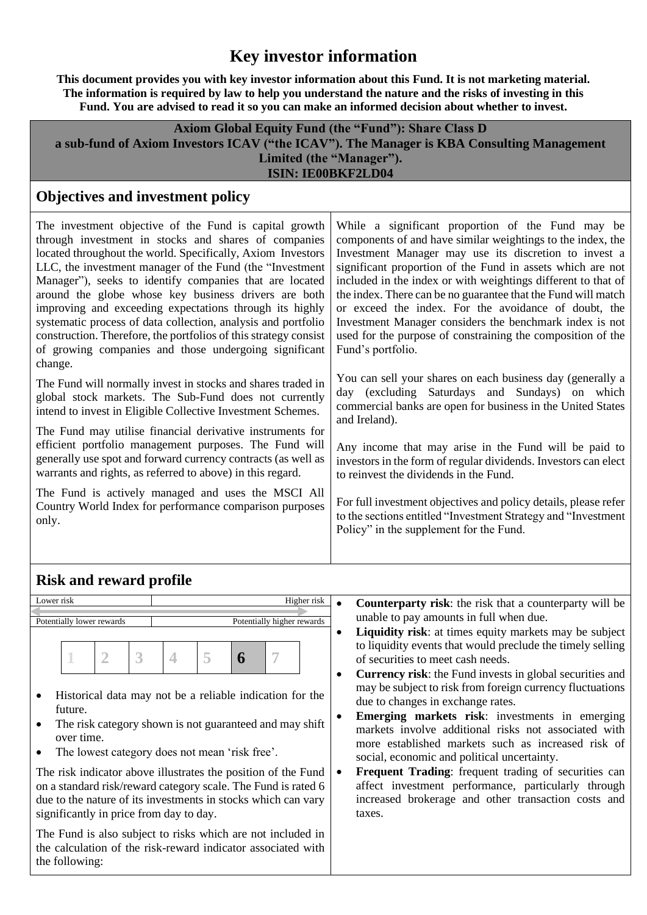# **Key investor information**

**This document provides you with key investor information about this Fund. It is not marketing material. The information is required by law to help you understand the nature and the risks of investing in this Fund. You are advised to read it so you can make an informed decision about whether to invest.**

| <b>Axiom Global Equity Fund (the "Fund"): Share Class D</b>                               |  |  |  |  |  |
|-------------------------------------------------------------------------------------------|--|--|--|--|--|
| a sub-fund of Axiom Investors ICAV ("the ICAV"). The Manager is KBA Consulting Management |  |  |  |  |  |
| Limited (the "Manager").                                                                  |  |  |  |  |  |
| <b>ISIN: IE00BKF2LD04</b>                                                                 |  |  |  |  |  |

### **Objectives and investment policy**

The investment objective of the Fund is capital growth through investment in stocks and shares of companies located throughout the world. Specifically, Axiom Investors LLC, the investment manager of the Fund (the "Investment Manager"), seeks to identify companies that are located around the globe whose key business drivers are both improving and exceeding expectations through its highly systematic process of data collection, analysis and portfolio construction. Therefore, the portfolios of this strategy consist of growing companies and those undergoing significant change.

The Fund will normally invest in stocks and shares traded in global stock markets. The Sub-Fund does not currently intend to invest in Eligible Collective Investment Schemes.

The Fund may utilise financial derivative instruments for efficient portfolio management purposes. The Fund will generally use spot and forward currency contracts (as well as warrants and rights, as referred to above) in this regard.

The Fund is actively managed and uses the MSCI All Country World Index for performance comparison purposes only.

While a significant proportion of the Fund may be components of and have similar weightings to the index, the Investment Manager may use its discretion to invest a significant proportion of the Fund in assets which are not included in the index or with weightings different to that of the index. There can be no guarantee that the Fund will match or exceed the index. For the avoidance of doubt, the Investment Manager considers the benchmark index is not used for the purpose of constraining the composition of the Fund's portfolio.

You can sell your shares on each business day (generally a day (excluding Saturdays and Sundays) on which commercial banks are open for business in the United States and Ireland).

Any income that may arise in the Fund will be paid to investors in the form of regular dividends. Investors can elect to reinvest the dividends in the Fund.

For full investment objectives and policy details, please refer to the sections entitled "Investment Strategy and "Investment Policy" in the supplement for the Fund.

# **Risk and reward profile**

significantly in price from day to day.

| Lower risk                                                                                                                                                                                                                                                                       | Higher risk |   | <b>Counterparty risk:</b> the risk that a counterparty will be                                                                                                                                                                                                                                                                                                                                                                                                                                                                                              |
|----------------------------------------------------------------------------------------------------------------------------------------------------------------------------------------------------------------------------------------------------------------------------------|-------------|---|-------------------------------------------------------------------------------------------------------------------------------------------------------------------------------------------------------------------------------------------------------------------------------------------------------------------------------------------------------------------------------------------------------------------------------------------------------------------------------------------------------------------------------------------------------------|
| Potentially higher rewards<br>Potentially lower rewards                                                                                                                                                                                                                          |             |   | unable to pay amounts in full when due.                                                                                                                                                                                                                                                                                                                                                                                                                                                                                                                     |
| 5<br>3<br>$\overline{\mathcal{A}}$<br>6<br>Historical data may not be a reliable indication for the<br>$\bullet$<br>future.<br>The risk category shown is not guaranteed and may shift<br>$\bullet$<br>over time.<br>The lowest category does not mean 'risk free'.<br>$\bullet$ |             | ٠ | <b>Liquidity risk:</b> at times equity markets may be subject<br>to liquidity events that would preclude the timely selling<br>of securities to meet cash needs.<br><b>Currency risk:</b> the Fund invests in global securities and<br>may be subject to risk from foreign currency fluctuations<br>due to changes in exchange rates.<br><b>Emerging markets risk:</b> investments in emerging<br>markets involve additional risks not associated with<br>more established markets such as increased risk of<br>social, economic and political uncertainty. |
| The risk indicator above illustrates the position of the Fund                                                                                                                                                                                                                    |             |   | Frequent Trading: frequent trading of securities can                                                                                                                                                                                                                                                                                                                                                                                                                                                                                                        |
| on a standard risk/reward category scale. The Fund is rated 6                                                                                                                                                                                                                    |             |   | affect investment performance, particularly through                                                                                                                                                                                                                                                                                                                                                                                                                                                                                                         |
| due to the nature of its investments in stocks which can vary                                                                                                                                                                                                                    |             |   | increased brokerage and other transaction costs and                                                                                                                                                                                                                                                                                                                                                                                                                                                                                                         |
|                                                                                                                                                                                                                                                                                  |             |   |                                                                                                                                                                                                                                                                                                                                                                                                                                                                                                                                                             |

The Fund is also subject to risks which are not included in the calculation of the risk-reward indicator associated with the following:

taxes.